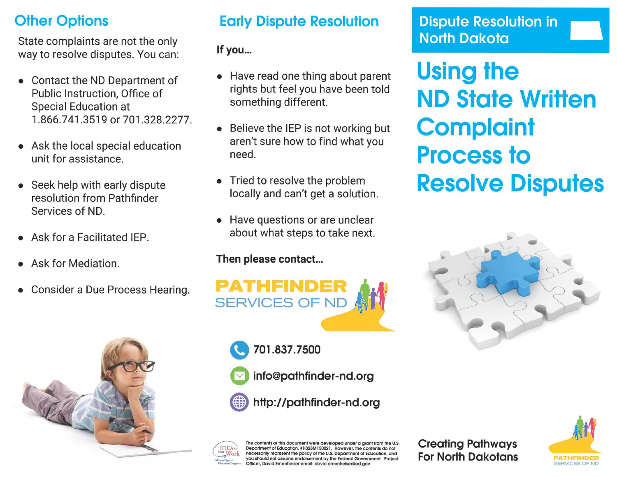# **Other Options**

State complaints are not the only way to resolve disputes. You can:

- Contact the NO Department of Public Instruction, Office of Special Education at 1.866.741.3519 or 701.328.2277.
- Ask the local special education unit for assistance.
- Seek help with early dispute resolution from Pathfmder Services of NO.
- Ask for a Facilitated IEP.
- Ask for Mediation.
- Consider a Due Process Hearing.



# Early Dispute Resolution

## If you...

- Have read one thing about parent rights but feel you have been told something different.
- Believe the IEP is not working but aren't sure how to find what you need.
- Tried to resolve the problem locally and can't get a solution.
- Have questions or are unclear about what steps to take next.

### Then please contact...



- " 701.837.7500
	- a info@pathfinder-nd.org
- http://pathfinder-nd.org



The contents of this document were developed under a grant from the U.S. Department of Education, #H328M150021. However, the contents do not necessarily represent the policy of the U.S. Department of Education, and you should not assume endorsement by the Federal Government. Project ficer, David Emenheiser email: david.emenheiser@ed.gov.

Creating Pathways For North Dakotans **PATHFINDER** 



# Dispute Resolution in \_ North Dakota

Using the ND State Written **Complaint** Process to Resolve Disputes